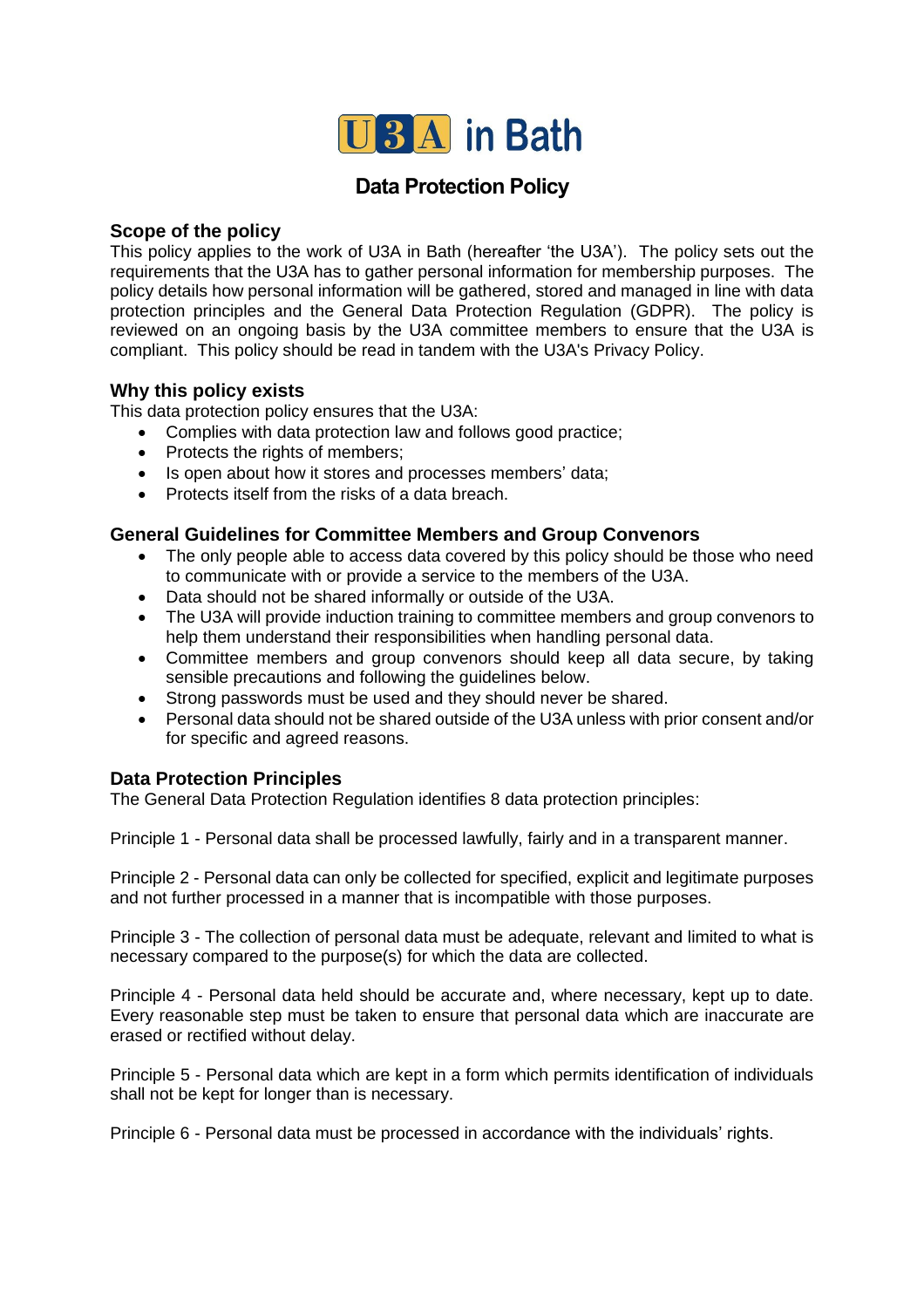

# **Data Protection Policy**

## **Scope of the policy**

This policy applies to the work of U3A in Bath (hereafter 'the U3A'). The policy sets out the requirements that the U3A has to gather personal information for membership purposes. The policy details how personal information will be gathered, stored and managed in line with data protection principles and the General Data Protection Regulation (GDPR). The policy is reviewed on an ongoing basis by the U3A committee members to ensure that the U3A is compliant. This policy should be read in tandem with the U3A's Privacy Policy.

# **Why this policy exists**

This data protection policy ensures that the U3A:

- Complies with data protection law and follows good practice;
- Protects the rights of members;
- Is open about how it stores and processes members' data;
- Protects itself from the risks of a data breach.

## **General Guidelines for Committee Members and Group Convenors**

- The only people able to access data covered by this policy should be those who need to communicate with or provide a service to the members of the U3A.
- Data should not be shared informally or outside of the U3A.
- The U3A will provide induction training to committee members and group convenors to help them understand their responsibilities when handling personal data.
- Committee members and group convenors should keep all data secure, by taking sensible precautions and following the guidelines below.
- Strong passwords must be used and they should never be shared.
- Personal data should not be shared outside of the U3A unless with prior consent and/or for specific and agreed reasons.

## **Data Protection Principles**

The General Data Protection Regulation identifies 8 data protection principles:

Principle 1 - Personal data shall be processed lawfully, fairly and in a transparent manner.

Principle 2 - Personal data can only be collected for specified, explicit and legitimate purposes and not further processed in a manner that is incompatible with those purposes.

Principle 3 - The collection of personal data must be adequate, relevant and limited to what is necessary compared to the purpose(s) for which the data are collected.

Principle 4 - Personal data held should be accurate and, where necessary, kept up to date. Every reasonable step must be taken to ensure that personal data which are inaccurate are erased or rectified without delay.

Principle 5 - Personal data which are kept in a form which permits identification of individuals shall not be kept for longer than is necessary.

Principle 6 - Personal data must be processed in accordance with the individuals' rights.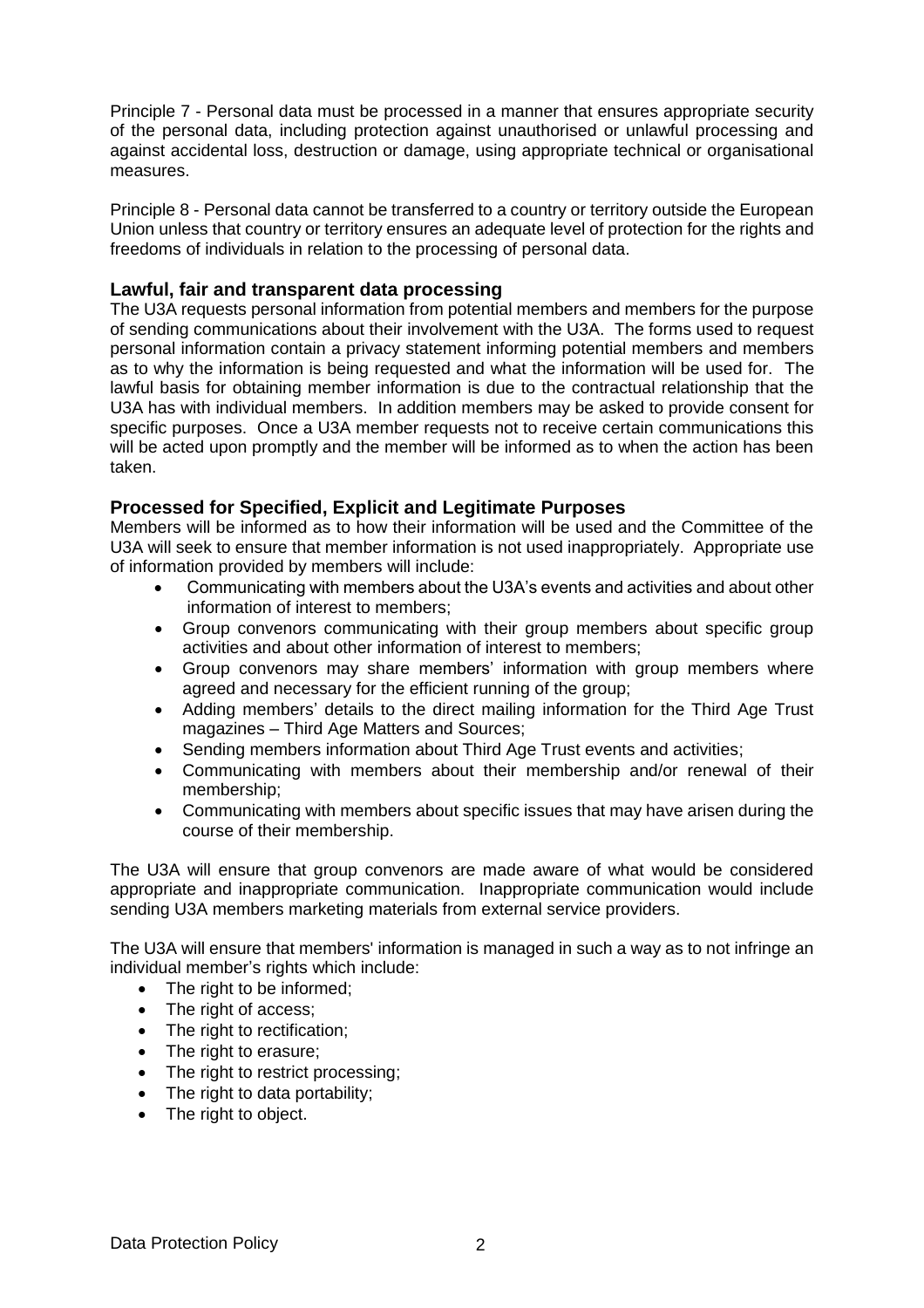Principle 7 - Personal data must be processed in a manner that ensures appropriate security of the personal data, including protection against unauthorised or unlawful processing and against accidental loss, destruction or damage, using appropriate technical or organisational measures.

Principle 8 - Personal data cannot be transferred to a country or territory outside the European Union unless that country or territory ensures an adequate level of protection for the rights and freedoms of individuals in relation to the processing of personal data.

### **Lawful, fair and transparent data processing**

The U3A requests personal information from potential members and members for the purpose of sending communications about their involvement with the U3A. The forms used to request personal information contain a privacy statement informing potential members and members as to why the information is being requested and what the information will be used for. The lawful basis for obtaining member information is due to the contractual relationship that the U3A has with individual members. In addition members may be asked to provide consent for specific purposes. Once a U3A member requests not to receive certain communications this will be acted upon promptly and the member will be informed as to when the action has been taken.

### **Processed for Specified, Explicit and Legitimate Purposes**

Members will be informed as to how their information will be used and the Committee of the U3A will seek to ensure that member information is not used inappropriately. Appropriate use of information provided by members will include:

- Communicating with members about the U3A's events and activities and about other information of interest to members;
- Group convenors communicating with their group members about specific group activities and about other information of interest to members;
- Group convenors may share members' information with group members where agreed and necessary for the efficient running of the group;
- Adding members' details to the direct mailing information for the Third Age Trust magazines – Third Age Matters and Sources;
- Sending members information about Third Age Trust events and activities;
- Communicating with members about their membership and/or renewal of their membership;
- Communicating with members about specific issues that may have arisen during the course of their membership.

The U3A will ensure that group convenors are made aware of what would be considered appropriate and inappropriate communication. Inappropriate communication would include sending U3A members marketing materials from external service providers.

The U3A will ensure that members' information is managed in such a way as to not infringe an individual member's rights which include:

- The right to be informed;
- The right of access;
- The right to rectification;
- The right to erasure;
- The right to restrict processing;
- The right to data portability;
- The right to object.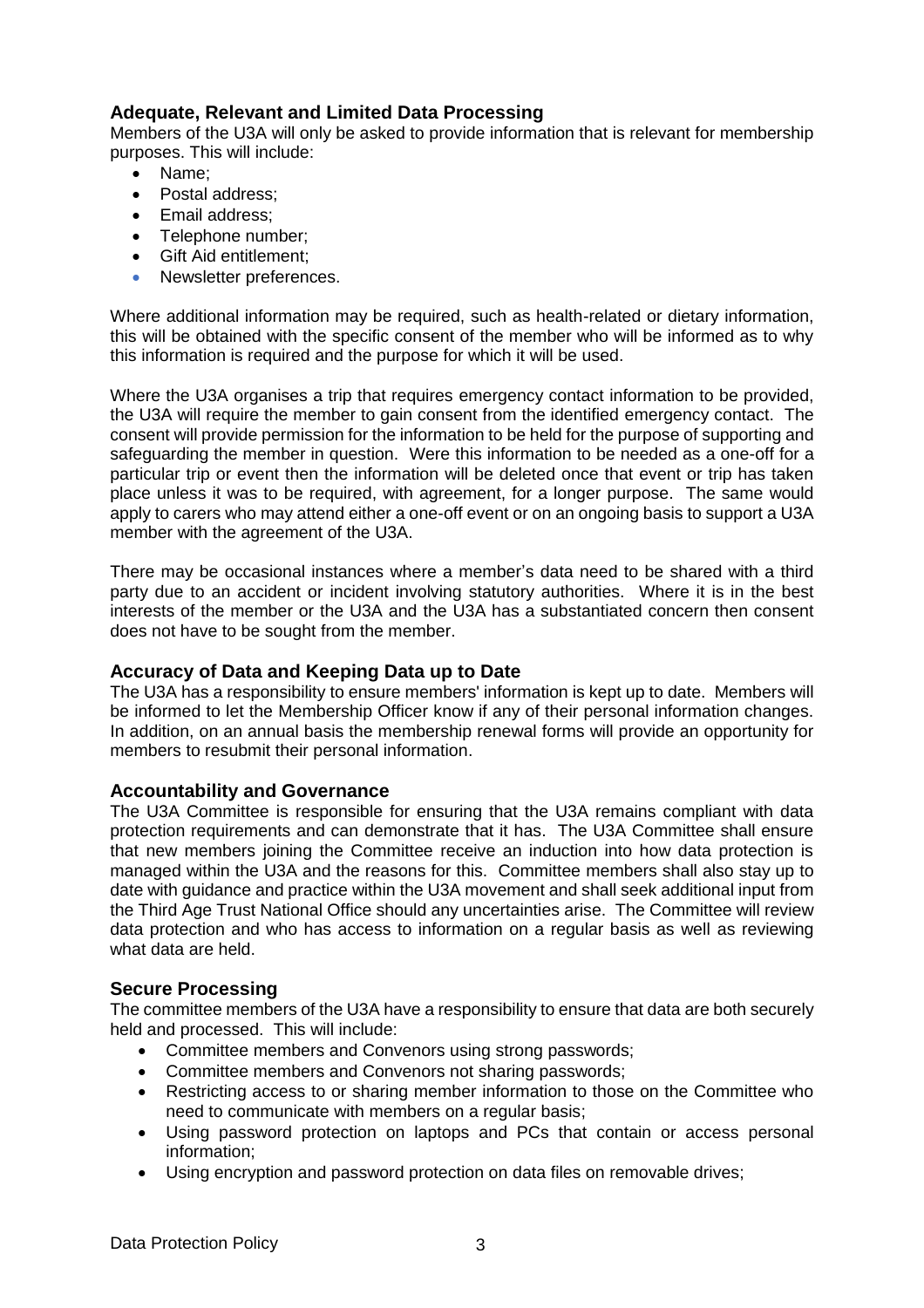# **Adequate, Relevant and Limited Data Processing**

Members of the U3A will only be asked to provide information that is relevant for membership purposes. This will include:

- Name:
- Postal address;
- Email address;
- Telephone number:
- Gift Aid entitlement;
- Newsletter preferences.

Where additional information may be required, such as health-related or dietary information, this will be obtained with the specific consent of the member who will be informed as to why this information is required and the purpose for which it will be used.

Where the U3A organises a trip that requires emergency contact information to be provided, the U3A will require the member to gain consent from the identified emergency contact. The consent will provide permission for the information to be held for the purpose of supporting and safeguarding the member in question. Were this information to be needed as a one-off for a particular trip or event then the information will be deleted once that event or trip has taken place unless it was to be required, with agreement, for a longer purpose. The same would apply to carers who may attend either a one-off event or on an ongoing basis to support a U3A member with the agreement of the U3A.

There may be occasional instances where a member's data need to be shared with a third party due to an accident or incident involving statutory authorities. Where it is in the best interests of the member or the U3A and the U3A has a substantiated concern then consent does not have to be sought from the member.

### **Accuracy of Data and Keeping Data up to Date**

The U3A has a responsibility to ensure members' information is kept up to date. Members will be informed to let the Membership Officer know if any of their personal information changes. In addition, on an annual basis the membership renewal forms will provide an opportunity for members to resubmit their personal information.

### **Accountability and Governance**

The U3A Committee is responsible for ensuring that the U3A remains compliant with data protection requirements and can demonstrate that it has. The U3A Committee shall ensure that new members joining the Committee receive an induction into how data protection is managed within the U3A and the reasons for this. Committee members shall also stay up to date with guidance and practice within the U3A movement and shall seek additional input from the Third Age Trust National Office should any uncertainties arise. The Committee will review data protection and who has access to information on a regular basis as well as reviewing what data are held.

### **Secure Processing**

The committee members of the U3A have a responsibility to ensure that data are both securely held and processed. This will include:

- Committee members and Convenors using strong passwords;
- Committee members and Convenors not sharing passwords;
- Restricting access to or sharing member information to those on the Committee who need to communicate with members on a regular basis;
- Using password protection on laptops and PCs that contain or access personal information;
- Using encryption and password protection on data files on removable drives;